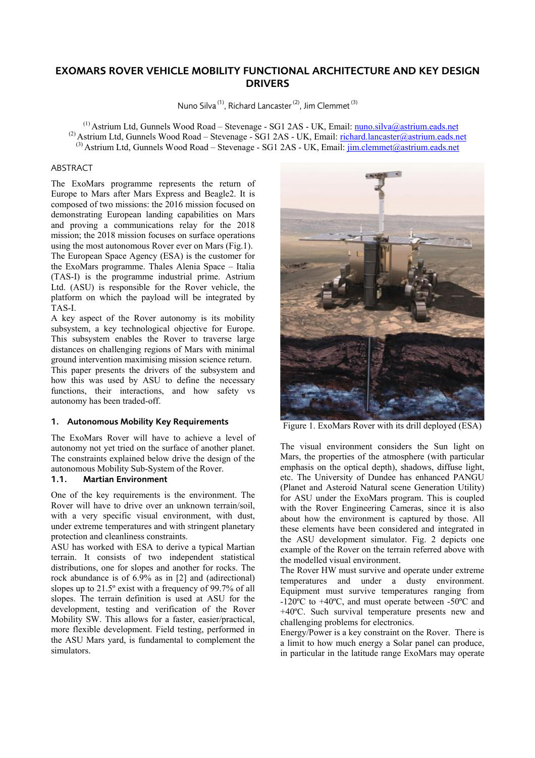# **EXOMARS ROVER VEHICLE MOBILITY FUNCTIONAL ARCHITECTURE AND KEY DESIGN DRIVERS**

Nuno Silva (1), Richard Lancaster (2), Jim Clemmet (3)

<sup>(1)</sup> Astrium Ltd, Gunnels Wood Road – Stevenage - SG1 2AS - UK, Email: nuno.silva@astrium.eads.net (2) Astrium Ltd, Gunnels Wood Road – Stevenage - SG1 2AS - UK, Email: richard.lancaster@astrium.eads.net  $^{(3)}$  Astrium Ltd, Gunnels Wood Road – Stevenage - SG1 2AS - UK, Email: jim.clemmet@astrium.eads.net

#### ABSTRACT

The ExoMars programme represents the return of Europe to Mars after Mars Express and Beagle2. It is composed of two missions: the 2016 mission focused on demonstrating European landing capabilities on Mars and proving a communications relay for the 2018 mission; the 2018 mission focuses on surface operations using the most autonomous Rover ever on Mars (Fig.1). The European Space Agency (ESA) is the customer for the ExoMars programme. Thales Alenia Space – Italia (TAS-I) is the programme industrial prime. Astrium Ltd. (ASU) is responsible for the Rover vehicle, the platform on which the payload will be integrated by TAS-I.

A key aspect of the Rover autonomy is its mobility subsystem, a key technological objective for Europe. This subsystem enables the Rover to traverse large distances on challenging regions of Mars with minimal ground intervention maximising mission science return.

This paper presents the drivers of the subsystem and how this was used by ASU to define the necessary functions, their interactions, and how safety vs autonomy has been traded-off.

### **1. Autonomous Mobility Key Requirements**

The ExoMars Rover will have to achieve a level of autonomy not yet tried on the surface of another planet. The constraints explained below drive the design of the autonomous Mobility Sub-System of the Rover.

### **1.1. Martian Environment**

One of the key requirements is the environment. The Rover will have to drive over an unknown terrain/soil, with a very specific visual environment, with dust, under extreme temperatures and with stringent planetary protection and cleanliness constraints.

ASU has worked with ESA to derive a typical Martian terrain. It consists of two independent statistical distributions, one for slopes and another for rocks. The rock abundance is of 6.9% as in [2] and (adirectional) slopes up to 21.5º exist with a frequency of 99.7% of all slopes. The terrain definition is used at ASU for the development, testing and verification of the Rover Mobility SW. This allows for a faster, easier/practical, more flexible development. Field testing, performed in the ASU Mars yard, is fundamental to complement the simulators.



Figure 1. ExoMars Rover with its drill deployed (ESA)

The visual environment considers the Sun light on Mars, the properties of the atmosphere (with particular emphasis on the optical depth), shadows, diffuse light, etc. The University of Dundee has enhanced PANGU (Planet and Asteroid Natural scene Generation Utility) for ASU under the ExoMars program. This is coupled with the Rover Engineering Cameras, since it is also about how the environment is captured by those. All these elements have been considered and integrated in the ASU development simulator. Fig. 2 depicts one example of the Rover on the terrain referred above with the modelled visual environment.

The Rover HW must survive and operate under extreme temperatures and under a dusty environment. Equipment must survive temperatures ranging from -120ºC to +40ºC, and must operate between -50ºC and +40ºC. Such survival temperature presents new and challenging problems for electronics.

Energy/Power is a key constraint on the Rover. There is a limit to how much energy a Solar panel can produce, in particular in the latitude range ExoMars may operate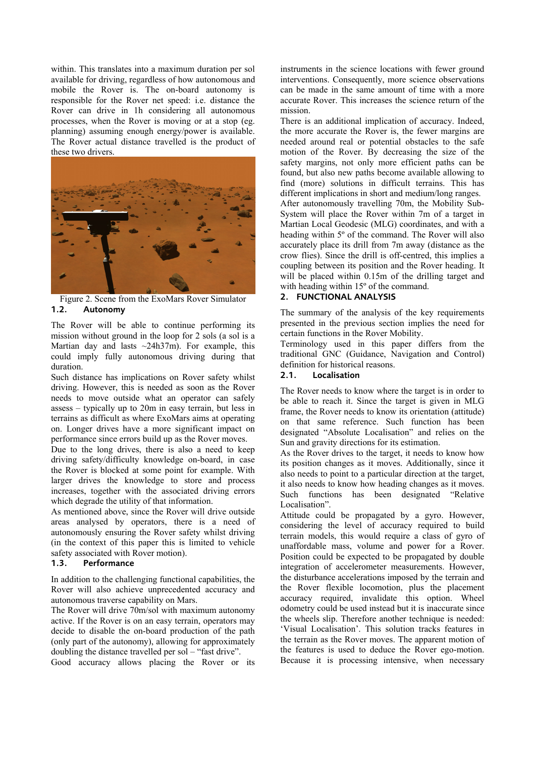within. This translates into a maximum duration per sol available for driving, regardless of how autonomous and mobile the Rover is. The on-board autonomy is responsible for the Rover net speed: i.e. distance the Rover can drive in 1h considering all autonomous processes, when the Rover is moving or at a stop (eg. planning) assuming enough energy/power is available. The Rover actual distance travelled is the product of these two drivers.



Figure 2. Scene from the ExoMars Rover Simulator **1.2. Autonomy** 

The Rover will be able to continue performing its mission without ground in the loop for 2 sols (a sol is a Martian day and lasts  $\sim$ 24h37m). For example, this could imply fully autonomous driving during that duration.

Such distance has implications on Rover safety whilst driving. However, this is needed as soon as the Rover needs to move outside what an operator can safely assess – typically up to 20m in easy terrain, but less in terrains as difficult as where ExoMars aims at operating on. Longer drives have a more significant impact on performance since errors build up as the Rover moves.

Due to the long drives, there is also a need to keep driving safety/difficulty knowledge on-board, in case the Rover is blocked at some point for example. With larger drives the knowledge to store and process increases, together with the associated driving errors which degrade the utility of that information.

As mentioned above, since the Rover will drive outside areas analysed by operators, there is a need of autonomously ensuring the Rover safety whilst driving (in the context of this paper this is limited to vehicle safety associated with Rover motion).

#### **1.3. Performance**

In addition to the challenging functional capabilities, the Rover will also achieve unprecedented accuracy and autonomous traverse capability on Mars.

The Rover will drive 70m/sol with maximum autonomy active. If the Rover is on an easy terrain, operators may decide to disable the on-board production of the path (only part of the autonomy), allowing for approximately doubling the distance travelled per sol – "fast drive".

Good accuracy allows placing the Rover or its

instruments in the science locations with fewer ground interventions. Consequently, more science observations can be made in the same amount of time with a more accurate Rover. This increases the science return of the mission.

There is an additional implication of accuracy. Indeed, the more accurate the Rover is, the fewer margins are needed around real or potential obstacles to the safe motion of the Rover. By decreasing the size of the safety margins, not only more efficient paths can be found, but also new paths become available allowing to find (more) solutions in difficult terrains. This has different implications in short and medium/long ranges. After autonomously travelling 70m, the Mobility Sub-System will place the Rover within 7m of a target in Martian Local Geodesic (MLG) coordinates, and with a heading within 5º of the command. The Rover will also accurately place its drill from 7m away (distance as the crow flies). Since the drill is off-centred, this implies a coupling between its position and the Rover heading. It will be placed within 0.15m of the drilling target and with heading within 15<sup>°</sup> of the command.

### **2. FUNCTIONAL ANALYSIS**

The summary of the analysis of the key requirements presented in the previous section implies the need for certain functions in the Rover Mobility.

Terminology used in this paper differs from the traditional GNC (Guidance, Navigation and Control) definition for historical reasons.

#### **2.1. Localisation**

The Rover needs to know where the target is in order to be able to reach it. Since the target is given in MLG frame, the Rover needs to know its orientation (attitude) on that same reference. Such function has been designated "Absolute Localisation" and relies on the Sun and gravity directions for its estimation.

As the Rover drives to the target, it needs to know how its position changes as it moves. Additionally, since it also needs to point to a particular direction at the target, it also needs to know how heading changes as it moves. Such functions has been designated "Relative Localisation".

Attitude could be propagated by a gyro. However, considering the level of accuracy required to build terrain models, this would require a class of gyro of unaffordable mass, volume and power for a Rover. Position could be expected to be propagated by double integration of accelerometer measurements. However, the disturbance accelerations imposed by the terrain and the Rover flexible locomotion, plus the placement accuracy required, invalidate this option. Wheel odometry could be used instead but it is inaccurate since the wheels slip. Therefore another technique is needed: 'Visual Localisation'. This solution tracks features in the terrain as the Rover moves. The apparent motion of the features is used to deduce the Rover ego-motion. Because it is processing intensive, when necessary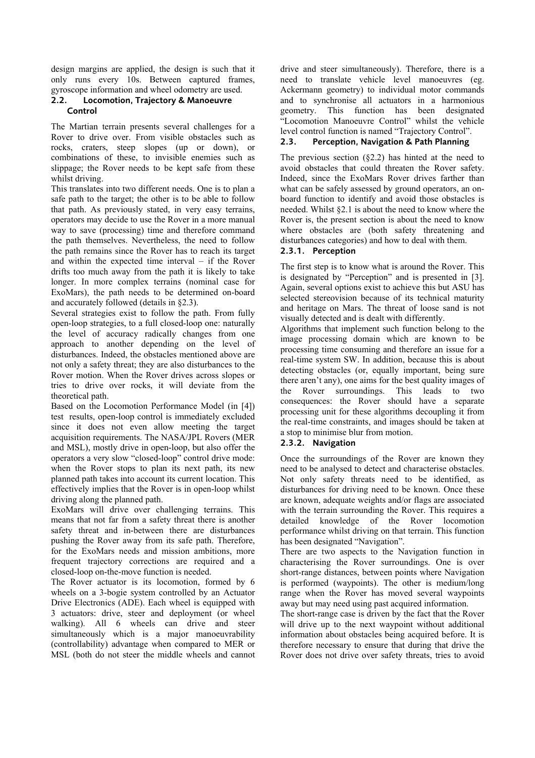design margins are applied, the design is such that it only runs every 10s. Between captured frames, gyroscope information and wheel odometry are used.

# **2.2. Locomotion, Trajectory & Manoeuvre Control**

The Martian terrain presents several challenges for a Rover to drive over. From visible obstacles such as rocks, craters, steep slopes (up or down), or combinations of these, to invisible enemies such as slippage; the Rover needs to be kept safe from these whilst driving.

This translates into two different needs. One is to plan a safe path to the target; the other is to be able to follow that path. As previously stated, in very easy terrains, operators may decide to use the Rover in a more manual way to save (processing) time and therefore command the path themselves. Nevertheless, the need to follow the path remains since the Rover has to reach its target and within the expected time interval – if the Rover drifts too much away from the path it is likely to take longer. In more complex terrains (nominal case for ExoMars), the path needs to be determined on-board and accurately followed (details in §2.3).

Several strategies exist to follow the path. From fully open-loop strategies, to a full closed-loop one: naturally the level of accuracy radically changes from one approach to another depending on the level of disturbances. Indeed, the obstacles mentioned above are not only a safety threat; they are also disturbances to the Rover motion. When the Rover drives across slopes or tries to drive over rocks, it will deviate from the theoretical path.

Based on the Locomotion Performance Model (in [4]) test results, open-loop control is immediately excluded since it does not even allow meeting the target acquisition requirements. The NASA/JPL Rovers (MER and MSL), mostly drive in open-loop, but also offer the operators a very slow "closed-loop" control drive mode: when the Rover stops to plan its next path, its new planned path takes into account its current location. This effectively implies that the Rover is in open-loop whilst driving along the planned path.

ExoMars will drive over challenging terrains. This means that not far from a safety threat there is another safety threat and in-between there are disturbances pushing the Rover away from its safe path. Therefore, for the ExoMars needs and mission ambitions, more frequent trajectory corrections are required and a closed-loop on-the-move function is needed.

The Rover actuator is its locomotion, formed by 6 wheels on a 3-bogie system controlled by an Actuator Drive Electronics (ADE). Each wheel is equipped with 3 actuators: drive, steer and deployment (or wheel walking). All 6 wheels can drive and steer simultaneously which is a major manoeuvrability (controllability) advantage when compared to MER or MSL (both do not steer the middle wheels and cannot drive and steer simultaneously). Therefore, there is a need to translate vehicle level manoeuvres (eg. Ackermann geometry) to individual motor commands and to synchronise all actuators in a harmonious geometry. This function has been designated "Locomotion Manoeuvre Control" whilst the vehicle level control function is named "Trajectory Control".

# **2.3. Perception, Navigation & Path Planning**

The previous section  $(\S2.2)$  has hinted at the need to avoid obstacles that could threaten the Rover safety. Indeed, since the ExoMars Rover drives farther than what can be safely assessed by ground operators, an onboard function to identify and avoid those obstacles is needed. Whilst §2.1 is about the need to know where the Rover is, the present section is about the need to know where obstacles are (both safety threatening and disturbances categories) and how to deal with them.

# **2.3.1. Perception**

The first step is to know what is around the Rover. This is designated by "Perception" and is presented in [3]. Again, several options exist to achieve this but ASU has selected stereovision because of its technical maturity and heritage on Mars. The threat of loose sand is not visually detected and is dealt with differently.

Algorithms that implement such function belong to the image processing domain which are known to be processing time consuming and therefore an issue for a real-time system SW. In addition, because this is about detecting obstacles (or, equally important, being sure there aren't any), one aims for the best quality images of the Rover surroundings. This leads to two consequences: the Rover should have a separate processing unit for these algorithms decoupling it from the real-time constraints, and images should be taken at a stop to minimise blur from motion.

# **2.3.2. Navigation**

Once the surroundings of the Rover are known they need to be analysed to detect and characterise obstacles. Not only safety threats need to be identified, as disturbances for driving need to be known. Once these are known, adequate weights and/or flags are associated with the terrain surrounding the Rover. This requires a detailed knowledge of the Rover locomotion performance whilst driving on that terrain. This function has been designated "Navigation".

There are two aspects to the Navigation function in characterising the Rover surroundings. One is over short-range distances, between points where Navigation is performed (waypoints). The other is medium/long range when the Rover has moved several waypoints away but may need using past acquired information.

The short-range case is driven by the fact that the Rover will drive up to the next waypoint without additional information about obstacles being acquired before. It is therefore necessary to ensure that during that drive the Rover does not drive over safety threats, tries to avoid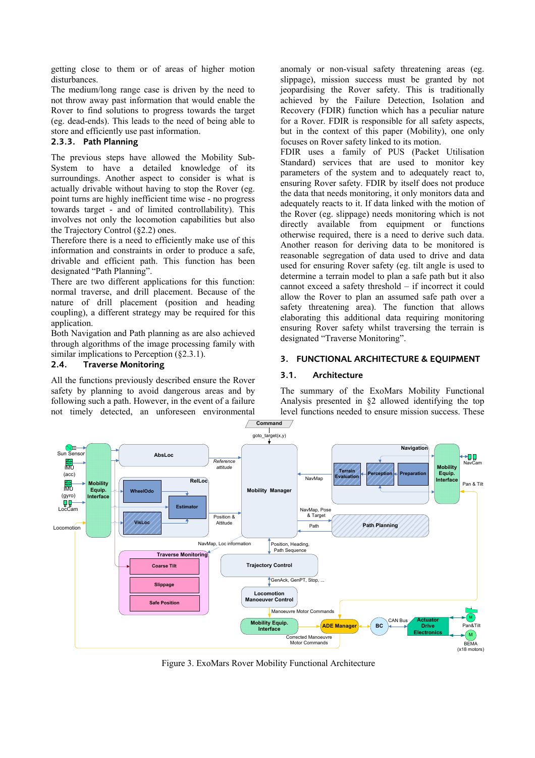getting close to them or of areas of higher motion disturbances.

The medium/long range case is driven by the need to not throw away past information that would enable the Rover to find solutions to progress towards the target (eg. dead-ends). This leads to the need of being able to store and efficiently use past information.

# **2.3.3. Path Planning**

The previous steps have allowed the Mobility Sub-System to have a detailed knowledge of its surroundings. Another aspect to consider is what is actually drivable without having to stop the Rover (eg. point turns are highly inefficient time wise - no progress towards target - and of limited controllability). This involves not only the locomotion capabilities but also the Trajectory Control (§2.2) ones.

Therefore there is a need to efficiently make use of this information and constraints in order to produce a safe, drivable and efficient path. This function has been designated "Path Planning".

There are two different applications for this function: normal traverse, and drill placement. Because of the nature of drill placement (position and heading coupling), a different strategy may be required for this application.

Both Navigation and Path planning as are also achieved through algorithms of the image processing family with similar implications to Perception (§2.3.1).

# **2.4. Traverse Monitoring**

All the functions previously described ensure the Rover safety by planning to avoid dangerous areas and by following such a path. However, in the event of a failure not timely detected, an unforeseen environmental anomaly or non-visual safety threatening areas (eg. slippage), mission success must be granted by not jeopardising the Rover safety. This is traditionally achieved by the Failure Detection, Isolation and Recovery (FDIR) function which has a peculiar nature for a Rover. FDIR is responsible for all safety aspects, but in the context of this paper (Mobility), one only focuses on Rover safety linked to its motion.

FDIR uses a family of PUS (Packet Utilisation Standard) services that are used to monitor key parameters of the system and to adequately react to, ensuring Rover safety. FDIR by itself does not produce the data that needs monitoring, it only monitors data and adequately reacts to it. If data linked with the motion of the Rover (eg. slippage) needs monitoring which is not directly available from equipment or functions otherwise required, there is a need to derive such data. Another reason for deriving data to be monitored is reasonable segregation of data used to drive and data used for ensuring Rover safety (eg. tilt angle is used to determine a terrain model to plan a safe path but it also cannot exceed a safety threshold – if incorrect it could allow the Rover to plan an assumed safe path over a safety threatening area). The function that allows elaborating this additional data requiring monitoring ensuring Rover safety whilst traversing the terrain is designated "Traverse Monitoring".

# **3. FUNCTIONAL ARCHITECTURE & EQUIPMENT**

# **3.1. Architecture**

The summary of the ExoMars Mobility Functional Analysis presented in §2 allowed identifying the top level functions needed to ensure mission success. These



Figure 3. ExoMars Rover Mobility Functional Architecture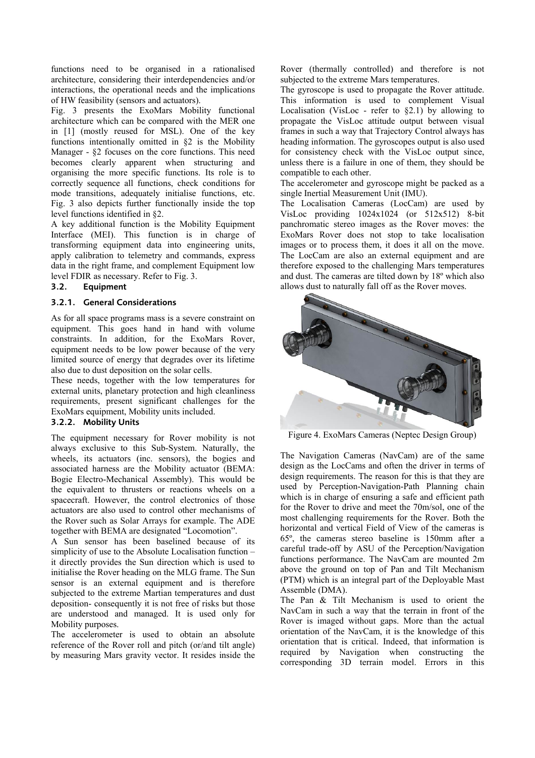functions need to be organised in a rationalised architecture, considering their interdependencies and/or interactions, the operational needs and the implications of HW feasibility (sensors and actuators).

Fig. 3 presents the ExoMars Mobility functional architecture which can be compared with the MER one in [1] (mostly reused for MSL). One of the key functions intentionally omitted in §2 is the Mobility Manager - §2 focuses on the core functions. This need becomes clearly apparent when structuring and organising the more specific functions. Its role is to correctly sequence all functions, check conditions for mode transitions, adequately initialise functions, etc. Fig. 3 also depicts further functionally inside the top level functions identified in §2.

A key additional function is the Mobility Equipment Interface (MEI). This function is in charge of transforming equipment data into engineering units, apply calibration to telemetry and commands, express data in the right frame, and complement Equipment low level FDIR as necessary. Refer to Fig. 3.

#### **3.2. Equipment**

### **3.2.1. General Considerations**

As for all space programs mass is a severe constraint on equipment. This goes hand in hand with volume constraints. In addition, for the ExoMars Rover, equipment needs to be low power because of the very limited source of energy that degrades over its lifetime also due to dust deposition on the solar cells.

These needs, together with the low temperatures for external units, planetary protection and high cleanliness requirements, present significant challenges for the ExoMars equipment, Mobility units included.

# **3.2.2. Mobility Units**

The equipment necessary for Rover mobility is not always exclusive to this Sub-System. Naturally, the wheels, its actuators (inc. sensors), the bogies and associated harness are the Mobility actuator (BEMA: Bogie Electro-Mechanical Assembly). This would be the equivalent to thrusters or reactions wheels on a spacecraft. However, the control electronics of those actuators are also used to control other mechanisms of the Rover such as Solar Arrays for example. The ADE together with BEMA are designated "Locomotion".

A Sun sensor has been baselined because of its simplicity of use to the Absolute Localisation function – it directly provides the Sun direction which is used to initialise the Rover heading on the MLG frame. The Sun sensor is an external equipment and is therefore subjected to the extreme Martian temperatures and dust deposition- consequently it is not free of risks but those are understood and managed. It is used only for Mobility purposes.

The accelerometer is used to obtain an absolute reference of the Rover roll and pitch (or/and tilt angle) by measuring Mars gravity vector. It resides inside the Rover (thermally controlled) and therefore is not subjected to the extreme Mars temperatures.

The gyroscope is used to propagate the Rover attitude. This information is used to complement Visual Localisation (VisLoc - refer to  $\S 2.1$ ) by allowing to propagate the VisLoc attitude output between visual frames in such a way that Trajectory Control always has heading information. The gyroscopes output is also used for consistency check with the VisLoc output since, unless there is a failure in one of them, they should be compatible to each other.

The accelerometer and gyroscope might be packed as a single Inertial Measurement Unit (IMU).

The Localisation Cameras (LocCam) are used by VisLoc providing 1024x1024 (or 512x512) 8-bit panchromatic stereo images as the Rover moves: the ExoMars Rover does not stop to take localisation images or to process them, it does it all on the move. The LocCam are also an external equipment and are therefore exposed to the challenging Mars temperatures and dust. The cameras are tilted down by 18º which also allows dust to naturally fall off as the Rover moves.



Figure 4. ExoMars Cameras (Neptec Design Group)

The Navigation Cameras (NavCam) are of the same design as the LocCams and often the driver in terms of design requirements. The reason for this is that they are used by Perception-Navigation-Path Planning chain which is in charge of ensuring a safe and efficient path for the Rover to drive and meet the 70m/sol, one of the most challenging requirements for the Rover. Both the horizontal and vertical Field of View of the cameras is 65º, the cameras stereo baseline is 150mm after a careful trade-off by ASU of the Perception/Navigation functions performance. The NavCam are mounted 2m above the ground on top of Pan and Tilt Mechanism (PTM) which is an integral part of the Deployable Mast Assemble (DMA).

The Pan & Tilt Mechanism is used to orient the NavCam in such a way that the terrain in front of the Rover is imaged without gaps. More than the actual orientation of the NavCam, it is the knowledge of this orientation that is critical. Indeed, that information is required by Navigation when constructing the corresponding 3D terrain model. Errors in this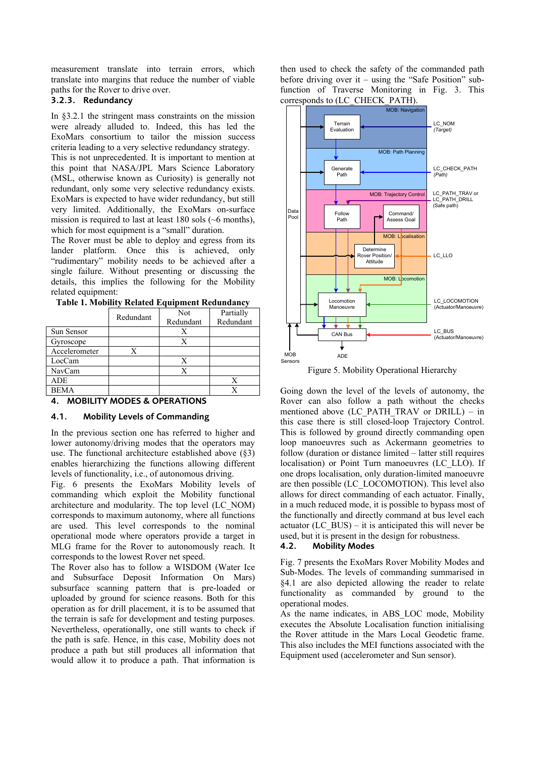measurement translate into terrain errors, which translate into margins that reduce the number of viable paths for the Rover to drive over.

# **3.2.3. Redundancy**

In §3.2.1 the stringent mass constraints on the mission were already alluded to. Indeed, this has led the ExoMars consortium to tailor the mission success criteria leading to a very selective redundancy strategy.

This is not unprecedented. It is important to mention at this point that NASA/JPL Mars Science Laboratory (MSL, otherwise known as Curiosity) is generally not redundant, only some very selective redundancy exists. ExoMars is expected to have wider redundancy, but still very limited. Additionally, the ExoMars on-surface mission is required to last at least 180 sols (~6 months), which for most equipment is a "small" duration.

The Rover must be able to deploy and egress from its lander platform. Once this is achieved, only "rudimentary" mobility needs to be achieved after a single failure. Without presenting or discussing the details, this implies the following for the Mobility related equipment:

|               | Redundant | Not       | Partially |  |
|---------------|-----------|-----------|-----------|--|
|               |           | Redundant | Redundant |  |
| Sun Sensor    |           |           |           |  |
| Gyroscope     |           |           |           |  |
| Accelerometer |           |           |           |  |
| LocCam        |           |           |           |  |
| NavCam        |           |           |           |  |
| <b>ADE</b>    |           |           |           |  |
| <b>BEMA</b>   |           |           |           |  |
|               |           |           |           |  |

|  | Table 1. Mobility Related Equipment Redundancy |
|--|------------------------------------------------|
|--|------------------------------------------------|

### **4. MOBILITY MODES & OPERATIONS**

### **4.1. Mobility Levels of Commanding**

In the previous section one has referred to higher and lower autonomy/driving modes that the operators may use. The functional architecture established above (§3) enables hierarchizing the functions allowing different levels of functionality, i.e., of autonomous driving.

Fig. 6 presents the ExoMars Mobility levels of commanding which exploit the Mobility functional architecture and modularity. The top level (LC\_NOM) corresponds to maximum autonomy, where all functions are used. This level corresponds to the nominal operational mode where operators provide a target in MLG frame for the Rover to autonomously reach. It corresponds to the lowest Rover net speed.

The Rover also has to follow a WISDOM (Water Ice and Subsurface Deposit Information On Mars) subsurface scanning pattern that is pre-loaded or uploaded by ground for science reasons. Both for this operation as for drill placement, it is to be assumed that the terrain is safe for development and testing purposes. Nevertheless, operationally, one still wants to check if the path is safe. Hence, in this case, Mobility does not produce a path but still produces all information that would allow it to produce a path. That information is

then used to check the safety of the commanded path before driving over it – using the "Safe Position" subfunction of Traverse Monitoring in Fig. 3. This corresponds to (LC\_CHECK\_PATH).



Figure 5. Mobility Operational Hierarchy

Going down the level of the levels of autonomy, the Rover can also follow a path without the checks mentioned above (LC\_PATH\_TRAV or DRILL) – in this case there is still closed-loop Trajectory Control. This is followed by ground directly commanding open loop manoeuvres such as Ackermann geometries to follow (duration or distance limited – latter still requires localisation) or Point Turn manoeuvres (LC\_LLO). If one drops localisation, only duration-limited manoeuvre are then possible (LC\_LOCOMOTION). This level also allows for direct commanding of each actuator. Finally, in a much reduced mode, it is possible to bypass most of the functionally and directly command at bus level each actuator  $(LC$  BUS) – it is anticipated this will never be used, but it is present in the design for robustness.

### **4.2. Mobility Modes**

Fig. 7 presents the ExoMars Rover Mobility Modes and Sub-Modes. The levels of commanding summarised in §4.1 are also depicted allowing the reader to relate functionality as commanded by ground to the operational modes.

As the name indicates, in ABS\_LOC mode, Mobility executes the Absolute Localisation function initialising the Rover attitude in the Mars Local Geodetic frame. This also includes the MEI functions associated with the Equipment used (accelerometer and Sun sensor).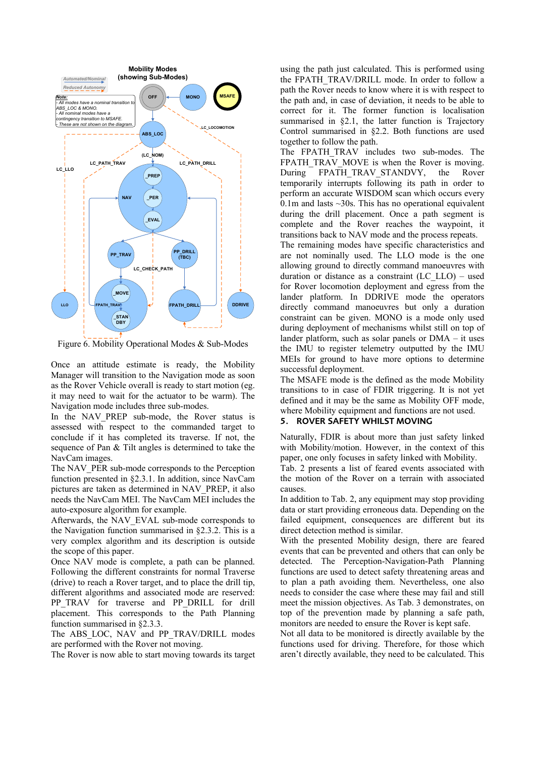

Figure 6. Mobility Operational Modes & Sub-Modes

Once an attitude estimate is ready, the Mobility Manager will transition to the Navigation mode as soon as the Rover Vehicle overall is ready to start motion (eg. it may need to wait for the actuator to be warm). The Navigation mode includes three sub-modes.

In the NAV PREP sub-mode, the Rover status is assessed with respect to the commanded target to conclude if it has completed its traverse. If not, the sequence of Pan & Tilt angles is determined to take the NavCam images.

The NAV PER sub-mode corresponds to the Perception function presented in §2.3.1. In addition, since NavCam pictures are taken as determined in NAV\_PREP, it also needs the NavCam MEI. The NavCam MEI includes the auto-exposure algorithm for example.

Afterwards, the NAV\_EVAL sub-mode corresponds to the Navigation function summarised in §2.3.2. This is a very complex algorithm and its description is outside the scope of this paper.

Once NAV mode is complete, a path can be planned. Following the different constraints for normal Traverse (drive) to reach a Rover target, and to place the drill tip, different algorithms and associated mode are reserved: PP\_TRAV for traverse and PP\_DRILL for drill placement. This corresponds to the Path Planning function summarised in §2.3.3.

The ABS LOC, NAV and PP TRAV/DRILL modes are performed with the Rover not moving.

The Rover is now able to start moving towards its target

using the path just calculated. This is performed using the FPATH\_TRAV/DRILL mode. In order to follow a path the Rover needs to know where it is with respect to the path and, in case of deviation, it needs to be able to correct for it. The former function is localisation summarised in §2.1, the latter function is Trajectory Control summarised in §2.2. Both functions are used together to follow the path.

The FPATH TRAV includes two sub-modes. The FPATH\_TRAV\_MOVE is when the Rover is moving. During FPATH\_TRAV\_STANDVY, the Rover temporarily interrupts following its path in order to perform an accurate WISDOM scan which occurs every 0.1m and lasts  $\sim$ 30s. This has no operational equivalent during the drill placement. Once a path segment is complete and the Rover reaches the waypoint, it transitions back to NAV mode and the process repeats.

The remaining modes have specific characteristics and are not nominally used. The LLO mode is the one allowing ground to directly command manoeuvres with duration or distance as a constraint (LC\_LLO) – used for Rover locomotion deployment and egress from the lander platform. In DDRIVE mode the operators directly command manoeuvres but only a duration constraint can be given. MONO is a mode only used during deployment of mechanisms whilst still on top of lander platform, such as solar panels or DMA – it uses the IMU to register telemetry outputted by the IMU MEIs for ground to have more options to determine successful deployment.

The MSAFE mode is the defined as the mode Mobility transitions to in case of FDIR triggering. It is not yet defined and it may be the same as Mobility OFF mode, where Mobility equipment and functions are not used.

#### **5. ROVER SAFETY WHILST MOVING**

Naturally, FDIR is about more than just safety linked with Mobility/motion. However, in the context of this paper, one only focuses in safety linked with Mobility.

Tab. 2 presents a list of feared events associated with the motion of the Rover on a terrain with associated causes.

In addition to Tab. 2, any equipment may stop providing data or start providing erroneous data. Depending on the failed equipment, consequences are different but its direct detection method is similar.

With the presented Mobility design, there are feared events that can be prevented and others that can only be detected. The Perception-Navigation-Path Planning functions are used to detect safety threatening areas and to plan a path avoiding them. Nevertheless, one also needs to consider the case where these may fail and still meet the mission objectives. As Tab. 3 demonstrates, on top of the prevention made by planning a safe path, monitors are needed to ensure the Rover is kept safe.

Not all data to be monitored is directly available by the functions used for driving. Therefore, for those which aren't directly available, they need to be calculated. This